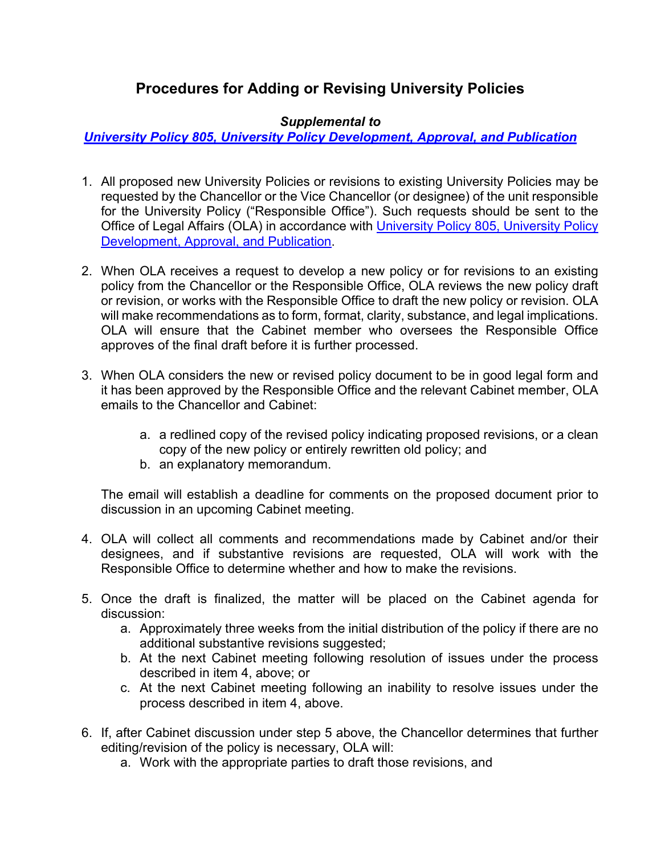## **Procedures for Adding or Revising University Policies**

## *Supplemental to*

*[University Policy 805, University Policy Development, Approval, and Publication](https://legal.charlotte.edu/policies/up-805)*

- 1. All proposed new University Policies or revisions to existing University Policies may be requested by the Chancellor or the Vice Chancellor (or designee) of the unit responsible for the University Policy ("Responsible Office"). Such requests should be sent to the Office of Legal Affairs (OLA) in accordance with [University Policy 805, University Policy](http://legal.charlotte.edu/policies/up-805)  [Development, Approval, and Publication.](http://legal.charlotte.edu/policies/up-805)
- 2. When OLA receives a request to develop a new policy or for revisions to an existing policy from the Chancellor or the Responsible Office, OLA reviews the new policy draft or revision, or works with the Responsible Office to draft the new policy or revision. OLA will make recommendations as to form, format, clarity, substance, and legal implications. OLA will ensure that the Cabinet member who oversees the Responsible Office approves of the final draft before it is further processed.
- 3. When OLA considers the new or revised policy document to be in good legal form and it has been approved by the Responsible Office and the relevant Cabinet member, OLA emails to the Chancellor and Cabinet:
	- a. a redlined copy of the revised policy indicating proposed revisions, or a clean copy of the new policy or entirely rewritten old policy; and
	- b. an explanatory memorandum.

The email will establish a deadline for comments on the proposed document prior to discussion in an upcoming Cabinet meeting.

- 4. OLA will collect all comments and recommendations made by Cabinet and/or their designees, and if substantive revisions are requested, OLA will work with the Responsible Office to determine whether and how to make the revisions.
- 5. Once the draft is finalized, the matter will be placed on the Cabinet agenda for discussion:
	- a. Approximately three weeks from the initial distribution of the policy if there are no additional substantive revisions suggested;
	- b. At the next Cabinet meeting following resolution of issues under the process described in item 4, above; or
	- c. At the next Cabinet meeting following an inability to resolve issues under the process described in item 4, above.
- 6. If, after Cabinet discussion under step 5 above, the Chancellor determines that further editing/revision of the policy is necessary, OLA will:
	- a. Work with the appropriate parties to draft those revisions, and